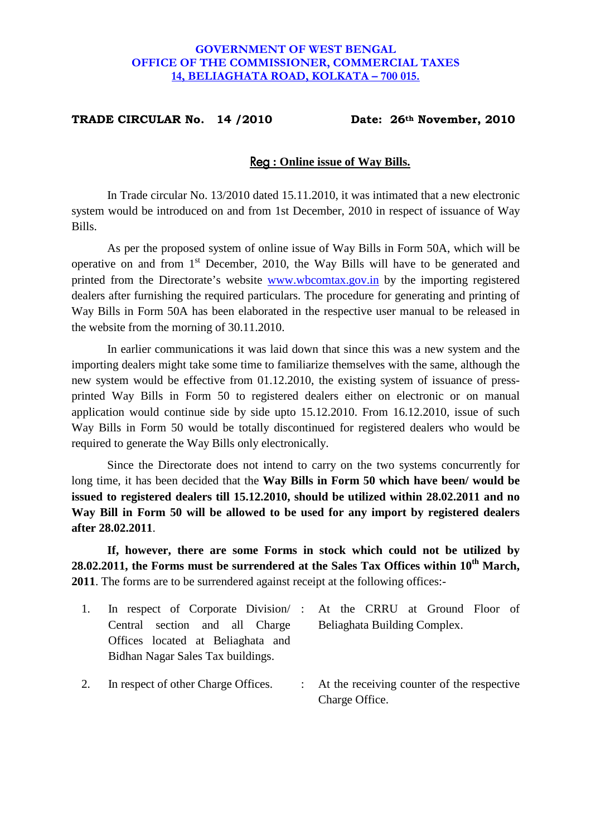### **GOVERNMENT OF WEST BENGAL OFFICE OF THE COMMISSIONER, COMMERCIAL TAXES 14, BELIAGHATA ROAD, KOLKATA – 700 015.**

### **TRADE CIRCULAR No. 14 /2010 Date: 26th November, 2010**

#### Reg **: Online issue of Way Bills.**

In Trade circular No. 13/2010 dated 15.11.2010, it was intimated that a new electronic system would be introduced on and from 1st December, 2010 in respect of issuance of Way Bills.

As per the proposed system of online issue of Way Bills in Form 50A, which will be operative on and from 1st December, 2010, the Way Bills will have to be generated and printed from the Directorate's website www.wbcomtax.gov.in by the importing registered dealers after furnishing the required particulars. The procedure for generating and printing of Way Bills in Form 50A has been elaborated in the respective user manual to be released in the website from the morning of 30.11.2010.

In earlier communications it was laid down that since this was a new system and the importing dealers might take some time to familiarize themselves with the same, although the new system would be effective from 01.12.2010, the existing system of issuance of pressprinted Way Bills in Form 50 to registered dealers either on electronic or on manual application would continue side by side upto 15.12.2010. From 16.12.2010, issue of such Way Bills in Form 50 would be totally discontinued for registered dealers who would be required to generate the Way Bills only electronically.

Since the Directorate does not intend to carry on the two systems concurrently for long time, it has been decided that the **Way Bills in Form 50 which have been/ would be issued to registered dealers till 15.12.2010, should be utilized within 28.02.2011 and no Way Bill in Form 50 will be allowed to be used for any import by registered dealers after 28.02.2011**.

**If, however, there are some Forms in stock which could not be utilized by 28.02.2011, the Forms must be surrendered at the Sales Tax Offices within 10th March, 2011**. The forms are to be surrendered against receipt at the following offices:-

- 1. In respect of Corporate Division/ Central section and all Charge Offices located at Beliaghata and Bidhan Nagar Sales Tax buildings.
- At the CRRU at Ground Floor of Beliaghata Building Complex.
- 2. In respect of other Charge Offices. : At the receiving counter of the respective Charge Office.